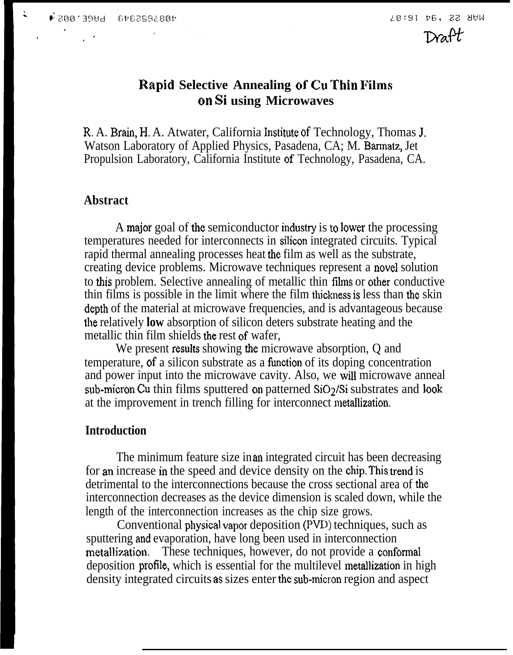$\ddot{\phantom{a}}$ 

 $Draft$ 

## **I@pid Selective Annealing of Cu Thin Pilms cm Si using Microwaves**

R. A. Brain, H. A. Atwater, California Institute of Technology, Thomas J. Watson Laboratory of Applied Physics, Pasadena, CA; M. Barmatz, Jet Propulsion Laboratory, California Institute of Technology, Pasadena, CA.

#### **Abstract**

A major goal of the semiconductor industry is to lower the processing temperatures needed for interconnects in silicon integrated circuits. Typical rapid thermal annealing processes heat the film as well as the substrate, creating device problems. Microwave techniques represent a novel solution to this problem. Selective annealing of metallic thin films or other conductive thin films is possible in the limit where the film thickness is less than the skin depth of the material at microwave frequencies, and is advantageous because the relatively **low** absorption of silicon deters substrate heating and the metallic thin film shields the rest of wafer,

We present results showing the microwave absorption, Q and temperature, of a silicon substrate as a function of its doping concentration and power input into the microwave cavity. Also, we will microwave anneal sub-micron Cu thin films sputtered on patterned  $SiO<sub>2</sub>/Si$  substrates and look at the improvement in trench filling for interconnect metilization.

#### **Introduction**

The minimum feature size in an integrated circuit has been decreasing for an increase in the speed and device density on the chip, This trend is detrimental to the interconnections because the cross sectional area of the interconnection decreases as the device dimension is scaled down, while the length of the interconnection increases as the chip size grows.

Conventional physical vapor deposition (PVD) techniques, such as sputtering and evaporation, have long been used in interconnection metallization. These techniques, however, do not provide a conformal deposition profile, which is essential for the multilevel metallization in high density integrated circuits as sizes enter the sub+nicron region and aspect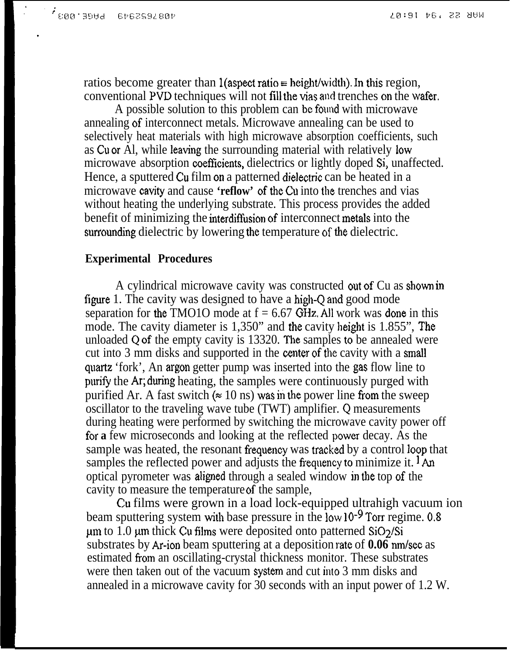.

ratios become greater than l(aspect ratio = height/width). In this region, conventional PVD techniques will not fill the vias and trenches on the wafer.

A possible solution to this problem can bc found with microwave annealing of interconnect metals. Microwave annealing can be used to selectively heat materials with high microwave absorption coefficients, such as Cu or Al, while Ieaving the surrounding material with relatively low microwave absorption coefficients, dielectrics or lightly doped Si, unaffected. Hence, a sputtered Cu film on a patterned dielectric can be heated in a microwave cavity and cause **'reflow'** of the Cu into the trenches and vias without heating the underlying substrate. This process provides the added benefit of minimizing the interdiffusion of interconnect metals into the surrounding dielectric by lowering the temperature of the dielectric.

### **Experimental Procedures**

A cylindrical microwave cavity was constructed out of Cu as shown in figure 1. The cavity was designed to have a high-Q and good mode separation for the TMO1O mode at  $f = 6.67$  GHz. All work was done in this mode. The cavity diameter is 1,350" and the cavity height is 1.855", The unloaded Q of the empty cavity is  $13320$ . The samples to be annealed were cut into 3 mm disks and supported in the center of the cavity with a small quartz 'fork', An argon getter pump was inserted into the gas flow line to purify the Ar; during heating, the samples were continuously purged with purified Ar. A fast switch ( $\approx 10$  ns) was in the power line from the sweep oscillator to the traveling wave tube (TWT) amplifier. Q measurements during heating were performed by switching the microwave cavity power off for **a** few microseconds and looking at the reflected power decay. As the sample was heated, the resonant frequency was tracked by a control loop that samples the reflected power and adjusts the frequency to minimize it.  $1 \text{ An}$ optical pyrometer was aligned through a sealed window in the top of the cavity to measure the temperature of the sample,

Cu films were grown in a load lock-equipped ultrahigh vacuum ion beam sputtering system with base pressure in the low 10<sup>-9</sup> Torr regime. 0.8  $\mu$ m to 1.0  $\mu$ m thick Cu films were deposited onto patterned SiO $\frac{2}{\text{Si}}$ substrates by Ar-ion beam sputtering at a deposition rate of **0.06** nm/sec as estimated from an oscillating-crystal thickness monitor. These substrates were then taken out of the vacuum system and cut into 3 mm disks and annealed in a microwave cavity for 30 seconds with an input power of 1.2 W.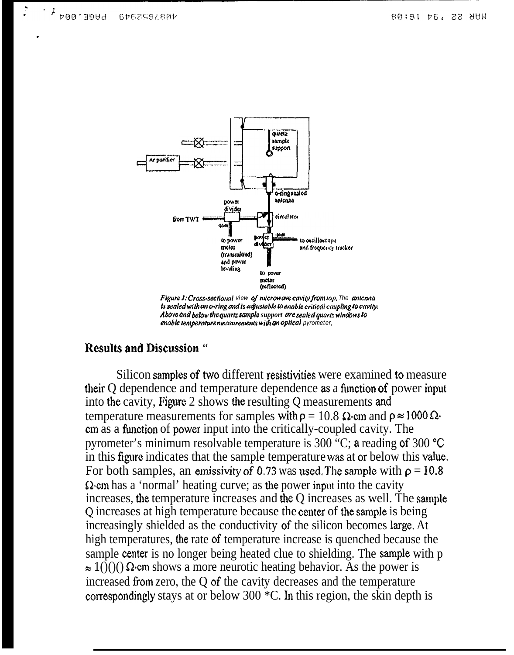

Figure 1: Cross-sectional view of microwave cavity from top, The antenna is sealed with an o-ring and is adjustable to enable critical coupling to cavity. Above and below the quartz sample support are sealed quartz windows to enable temperature measurements with an optical pyrometer,

### **Results and Discussion "**

Silicon samples of two different resistivities were examined to measure their Q dependence and temperature dependence as a function of power input into the cavity, Figure 2 shows the resulting Q measurements and temperature measurements for samples with  $\rho = 10.8 \Omega$  cm and  $\rho \approx 1000 \Omega$ . em as a function of power input into the critically-coupled cavity. The pyrometer's minimum resolvable temperature is 300 °C; a reading of 300 °C in this figure indicates that the sample temperature was at or below this value. For both samples, an emissivity of 0.73 was used. The sample with  $\rho = 10.8$  $\Omega$  cm has a 'normal' heating curve; as the power input into the cavity increases, the temperature increases and the Q increases as well. The sample Q increases at high temperature because the center of the sample is being increasingly shielded as the conductivity of the silicon becomes large. At high temperatures, the rate of temperature increase is quenched because the sample center is no longer being heated clue to shielding. The sample with p  $\approx 1(\tilde{C})(t)$   $\Omega$  cm shows a more neurotic heating behavior. As the power is increased from zero, the Q of the cavity decreases and the temperature correspondingly stays at or below 300  $^{\ast}$ C. In this region, the skin depth is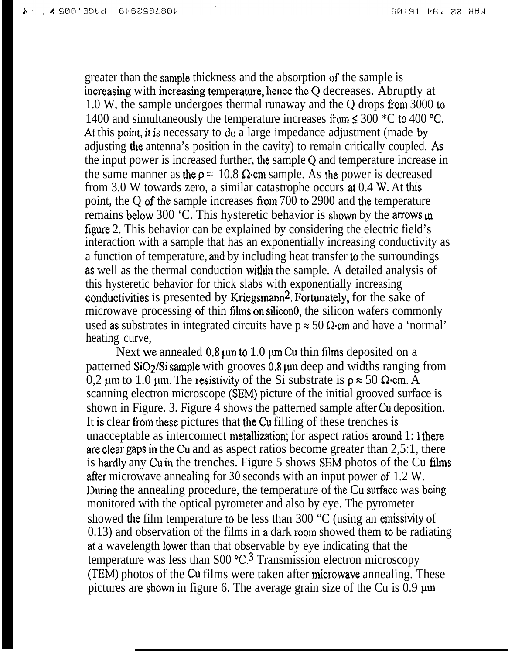greater than the sample thickness and the absorption of the sample is increasing with increasing temperature, hence the Q decreases. Abruptly at 1.0 W, the sample undergoes thermal runaway and the Q drops from 3000 to 1400 and simultaneously the temperature increases from  $\leq 300$  °C to 400 °C. At this point, it is necessary to do a large impedance adjustment (made by adjusting the antenna's position in the cavity) to remain critically coupled. As the input power is increased further, the sample Q and temperature increase in the same manner as the  $p = 10.8 \Omega$  cm sample. As the power is decreased from 3.0 W towards zero, a similar catastrophe occurs at 0.4 W, At this point, the Q of the sample increases from  $700$  to  $2900$  and the temperature remains below 300 'C. This hysteretic behavior is shown by the amows in figure 2. This behavior can be explained by considering the electric field's interaction with a sample that has an exponentially increasing conductivity as a function of temperature, and by including heat transfer to the surroundings as well as the thermal conduction within the sample. A detailed analysis of this hysteretic behavior for thick slabs with exponentially increasing conductivities is presented by Kriegsmann<sup>2</sup>. Fortunately, for the sake of microwave processing of thin films on silicono, the silicon wafers commonly used as substrates in integrated circuits have  $p \approx 50 \Omega$  cm and have a 'normal' heating curve,

Next we annealed  $0.8 \mu m$  to 1.0  $\mu m$  Cu thin films deposited on a patterned  $SiO<sub>2</sub>/Si$  sample with grooves 0,8  $\mu$ m deep and widths ranging from 0,2 um to 1.0 um. The resistivity of the Si substrate is  $\rho \approx 50 \Omega$  cm. A scanning electron microscope (SEM) picture of the initial grooved surface is shown in Figure. 3. Figure 4 shows the patterned sample after Cu deposition. It is clear from these pictures that the Cu filling of these trenches is unacceptable as interconnect metallization; for aspect ratios around 1: 1 there are clear gaps in the Cu and as aspect ratios become greater than 2,5:1, there is hardly any Cu in the trenches. Figure 5 shows SEM photos of the Cu *films* after microwave annealing for 30 seconds with an input power of 1.2 W. During the annealing procedure, the temperature of the Cu surface was being monitored with the optical pyrometer and also by eye. The pyrometer showed the film temperature to be less than 300 "C (using an emissivity of 0.13) and observation of the films in a dark room showed them to be radiating at a wavelength lower than that observable by eye indicating that the temperature was less than  $S00 \text{ °C}$ .<sup>3</sup> Transmission electron microscopy (TEM) photos of the Cu films were taken after microwave annealing. These pictures are shown in figure 6. The average grain size of the Cu is  $\overline{0.9 \mu m}$